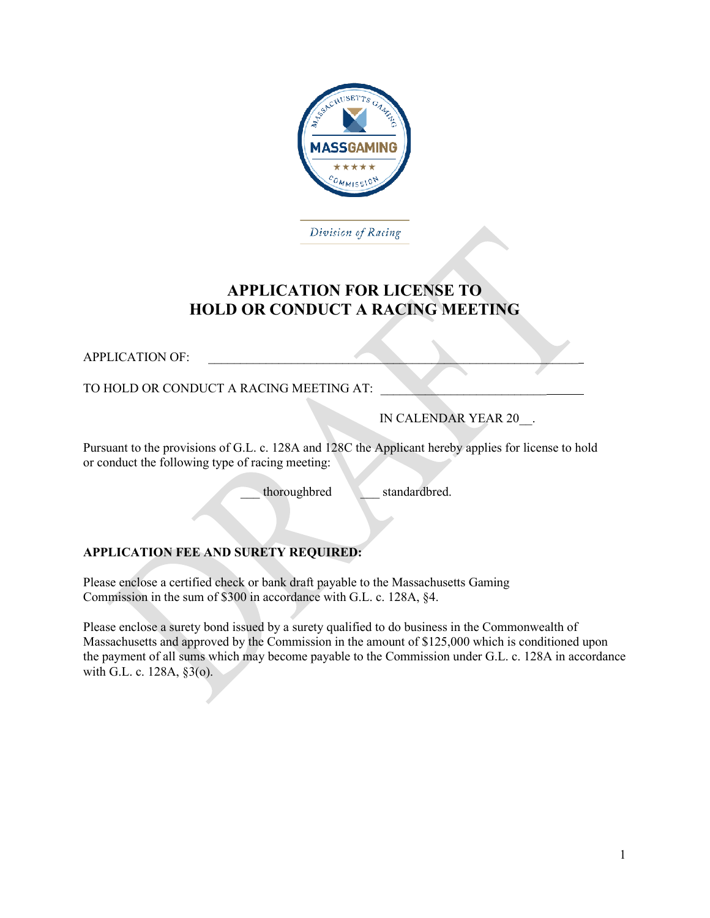

# **APPLICATION FOR LICENSE TO HOLD OR CONDUCT A RACING MEETING**

APPLICATION OF:

TO HOLD OR CONDUCT A RACING MEETING AT:

IN CALENDAR YEAR 20\_\_.

Pursuant to the provisions of G.L. c. 128A and 128C the Applicant hereby applies for license to hold or conduct the following type of racing meeting:

thoroughbred standardbred.

#### **APPLICATION FEE AND SURETY REQUIRED:**

Please enclose a certified check or bank draft payable to the Massachusetts Gaming Commission in the sum of \$300 in accordance with G.L. c. 128A, §4.

Please enclose a surety bond issued by a surety qualified to do business in the Commonwealth of Massachusetts and approved by the Commission in the amount of \$125,000 which is conditioned upon the payment of all sums which may become payable to the Commission under G.L. c. 128A in accordance with G.L. c. 128A, §3(o).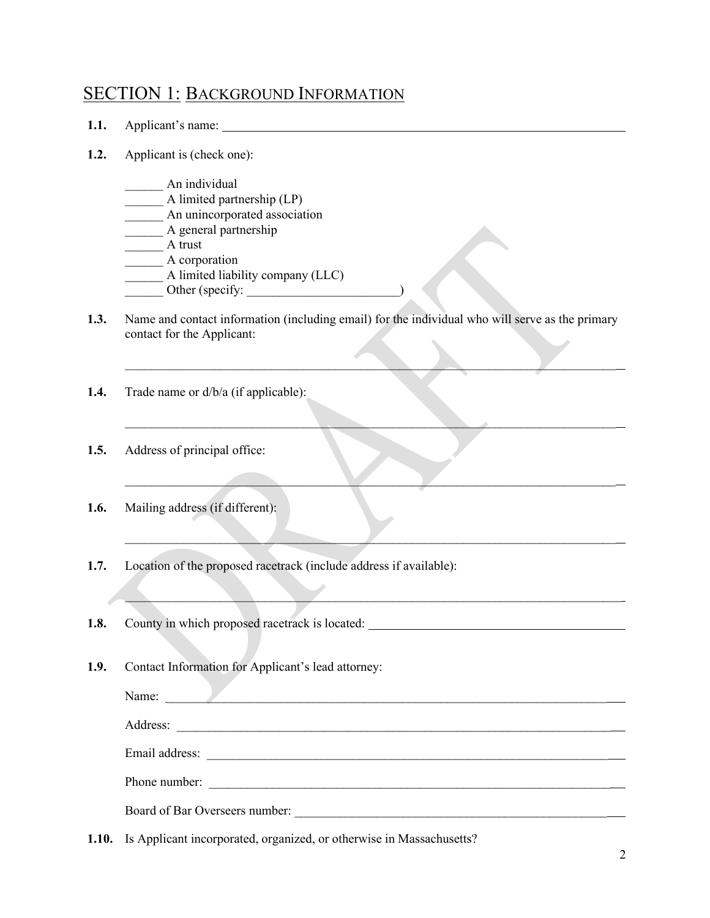### SECTION 1: BACKGROUND INFORMATION

- **1.1.** Applicant's name:
- **1.2.** Applicant is (check one):
	- \_\_\_\_\_\_ An individual
	- \_\_\_\_\_\_ A limited partnership (LP)
	- An unincorporated association
	- \_\_\_\_\_\_ A general partnership
	- \_\_\_\_\_\_ A trust
	- \_\_\_\_\_\_ A corporation
	- \_\_\_\_\_\_ A limited liability company (LLC)
	- \_\_\_\_\_\_ Other (specify: \_\_\_\_\_\_\_\_\_\_\_\_\_\_\_\_\_\_\_\_\_\_\_\_)
- **1.3.** Name and contact information (including email) for the individual who will serve as the primary contact for the Applicant:

 $\mathcal{L}=\{1,2,3,4,5,6,6,7,10\}$ 

 $\mathcal{L}_\mathcal{L} = \mathcal{L}_\mathcal{L} = \mathcal{L}_\mathcal{L} = \mathcal{L}_\mathcal{L} = \mathcal{L}_\mathcal{L} = \mathcal{L}_\mathcal{L} = \mathcal{L}_\mathcal{L} = \mathcal{L}_\mathcal{L} = \mathcal{L}_\mathcal{L} = \mathcal{L}_\mathcal{L} = \mathcal{L}_\mathcal{L} = \mathcal{L}_\mathcal{L} = \mathcal{L}_\mathcal{L} = \mathcal{L}_\mathcal{L} = \mathcal{L}_\mathcal{L} = \mathcal{L}_\mathcal{L} = \mathcal{L}_\mathcal{L}$ 

 $\mathcal{L}=\mathcal{L}=\mathcal{L}=\mathcal{L}=\mathcal{L}=\mathcal{L}=\mathcal{L}=\mathcal{L}=\mathcal{L}=\mathcal{L}=\mathcal{L}=\mathcal{L}=\mathcal{L}=\mathcal{L}=\mathcal{L}=\mathcal{L}=\mathcal{L}=\mathcal{L}=\mathcal{L}=\mathcal{L}=\mathcal{L}=\mathcal{L}=\mathcal{L}=\mathcal{L}=\mathcal{L}=\mathcal{L}=\mathcal{L}=\mathcal{L}=\mathcal{L}=\mathcal{L}=\mathcal{L}=\mathcal{L}=\mathcal{L}=\mathcal{L}=\mathcal{L}=\mathcal{L}=\mathcal{$ 

 $\mathcal{L} = \{ \mathcal{L} \mid \mathcal{L} \in \mathcal{L} \}$  , where  $\mathcal{L} = \{ \mathcal{L} \mid \mathcal{L} \in \mathcal{L} \}$ 

 $\mathcal{L}_\mathcal{L} = \mathcal{L}_\mathcal{L} = \mathcal{L}_\mathcal{L} = \mathcal{L}_\mathcal{L} = \mathcal{L}_\mathcal{L} = \mathcal{L}_\mathcal{L} = \mathcal{L}_\mathcal{L} = \mathcal{L}_\mathcal{L} = \mathcal{L}_\mathcal{L} = \mathcal{L}_\mathcal{L} = \mathcal{L}_\mathcal{L} = \mathcal{L}_\mathcal{L} = \mathcal{L}_\mathcal{L} = \mathcal{L}_\mathcal{L} = \mathcal{L}_\mathcal{L} = \mathcal{L}_\mathcal{L} = \mathcal{L}_\mathcal{L}$ 

- **1.4.** Trade name or d/b/a (if applicable):
- **1.5.** Address of principal office:
- **1.6.** Mailing address (if different):
- **1.7.** Location of the proposed racetrack (include address if available):
- **1.8.** County in which proposed racetrack is located:
- **1.9.** Contact Information for Applicant's lead attorney:

Name:

Address: \_\_\_\_\_\_\_\_\_\_\_\_\_\_\_\_\_\_\_\_\_\_\_\_\_\_\_\_\_\_\_\_\_\_\_\_\_\_\_\_\_\_\_\_\_\_\_\_\_\_\_\_\_\_\_\_\_\_\_\_\_\_\_\_\_\_\_\_

Email address: \_\_\_\_\_\_\_\_\_\_\_\_\_\_\_\_\_\_\_\_\_\_\_\_\_\_\_\_\_\_\_\_\_\_\_\_\_\_\_\_\_\_\_\_\_\_\_\_\_\_\_\_\_\_\_\_\_\_\_\_\_\_\_

Phone number: \_\_\_\_\_\_\_\_\_\_\_\_\_\_\_\_\_\_\_\_\_\_\_\_\_\_\_\_\_\_\_\_\_\_\_\_\_\_\_\_\_\_\_\_\_\_\_\_\_\_\_\_\_\_\_\_\_\_\_\_\_\_\_

Board of Bar Overseers number: \_\_\_\_\_\_\_\_\_\_\_\_\_\_\_\_\_\_\_\_\_\_\_\_\_\_\_\_\_\_\_\_\_\_\_\_\_\_\_\_\_\_\_\_\_\_\_\_\_

<span id="page-1-0"></span>**1.10.** Is Applicant incorporated, organized, or otherwise in Massachusetts?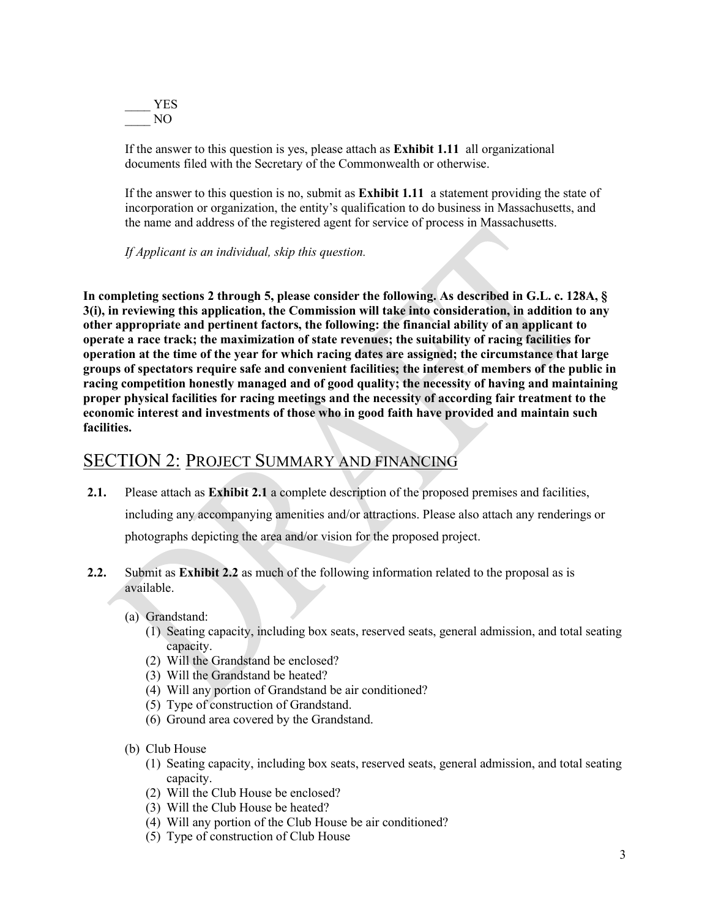\_\_\_\_ YES \_\_\_\_ NO

If the answer to this question is yes, please attach as **Exhibit [1.11](#page-1-0)** all organizational documents filed with the Secretary of the Commonwealth or otherwise.

If the answer to this question is no, submit as **Exhibi[t 1.11](#page-1-0)** a statement providing the state of incorporation or organization, the entity's qualification to do business in Massachusetts, and the name and address of the registered agent for service of process in Massachusetts.

*If Applicant is an individual, skip this question.* 

**In completing sections 2 through 5, please consider the following. As described in G.L. c. 128A, § 3(i), in reviewing this application, the Commission will take into consideration, in addition to any other appropriate and pertinent factors, the following: the financial ability of an applicant to operate a race track; the maximization of state revenues; the suitability of racing facilities for operation at the time of the year for which racing dates are assigned; the circumstance that large groups of spectators require safe and convenient facilities; the interest of members of the public in racing competition honestly managed and of good quality; the necessity of having and maintaining proper physical facilities for racing meetings and the necessity of according fair treatment to the economic interest and investments of those who in good faith have provided and maintain such facilities.**

### SECTION 2: PROJECT SUMMARY AND FINANCING

- <span id="page-2-0"></span>**2.1.** Please attach as **Exhibit [2.1](#page-2-0)** a complete description of the proposed premises and facilities, including any accompanying amenities and/or attractions. Please also attach any renderings or photographs depicting the area and/or vision for the proposed project.
- <span id="page-2-1"></span>**2.2.** Submit as **Exhibit [2.2](#page-2-1)** as much of the following information related to the proposal as is available.
	- (a) Grandstand:
		- (1) Seating capacity, including box seats, reserved seats, general admission, and total seating capacity.
		- (2) Will the Grandstand be enclosed?
		- (3) Will the Grandstand be heated?
		- (4) Will any portion of Grandstand be air conditioned?
		- (5) Type of construction of Grandstand.
		- (6) Ground area covered by the Grandstand.
	- (b) Club House
		- (1) Seating capacity, including box seats, reserved seats, general admission, and total seating capacity.
		- (2) Will the Club House be enclosed?
		- (3) Will the Club House be heated?
		- (4) Will any portion of the Club House be air conditioned?
		- (5) Type of construction of Club House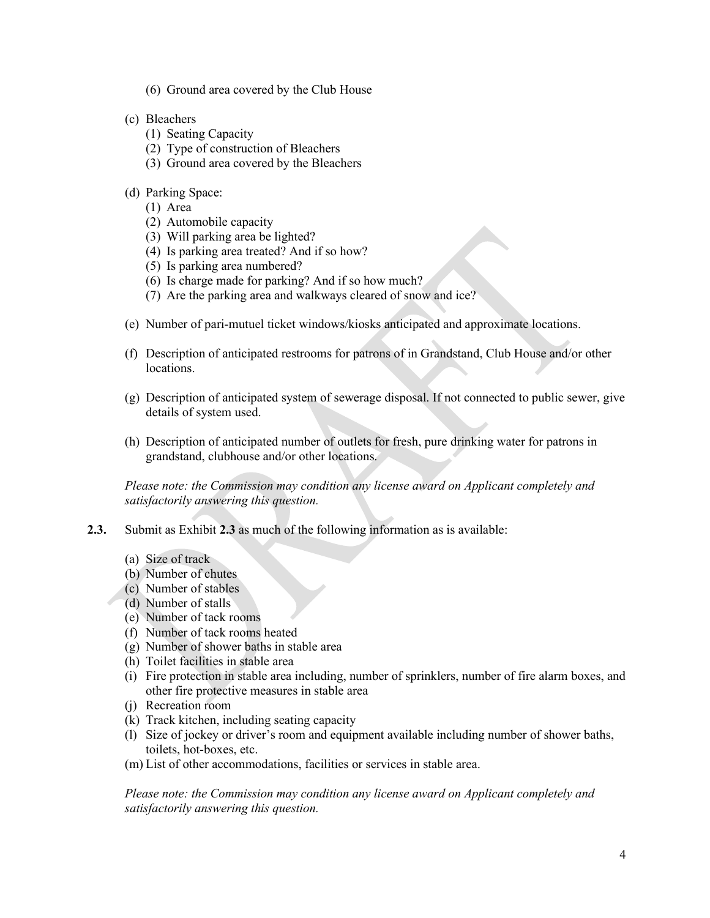- (6) Ground area covered by the Club House
- (c) Bleachers
	- (1) Seating Capacity
	- (2) Type of construction of Bleachers
	- (3) Ground area covered by the Bleachers
- (d) Parking Space:
	- (1) Area
	- (2) Automobile capacity
	- (3) Will parking area be lighted?
	- (4) Is parking area treated? And if so how?
	- (5) Is parking area numbered?
	- (6) Is charge made for parking? And if so how much?
	- (7) Are the parking area and walkways cleared of snow and ice?
- (e) Number of pari-mutuel ticket windows/kiosks anticipated and approximate locations.
- (f) Description of anticipated restrooms for patrons of in Grandstand, Club House and/or other locations.
- (g) Description of anticipated system of sewerage disposal. If not connected to public sewer, give details of system used.
- (h) Description of anticipated number of outlets for fresh, pure drinking water for patrons in grandstand, clubhouse and/or other locations.

*Please note: the Commission may condition any license award on Applicant completely and satisfactorily answering this question.*

- **2.3.** Submit as Exhibit **2.3** as much of the following information as is available:
	- (a) Size of track
	- (b) Number of chutes
	- (c) Number of stables
	- (d) Number of stalls
	- (e) Number of tack rooms
	- (f) Number of tack rooms heated
	- (g) Number of shower baths in stable area
	- (h) Toilet facilities in stable area
	- (i) Fire protection in stable area including, number of sprinklers, number of fire alarm boxes, and other fire protective measures in stable area
	- (j) Recreation room
	- (k) Track kitchen, including seating capacity
	- (l) Size of jockey or driver's room and equipment available including number of shower baths, toilets, hot-boxes, etc.
	- (m) List of other accommodations, facilities or services in stable area.

*Please note: the Commission may condition any license award on Applicant completely and satisfactorily answering this question.*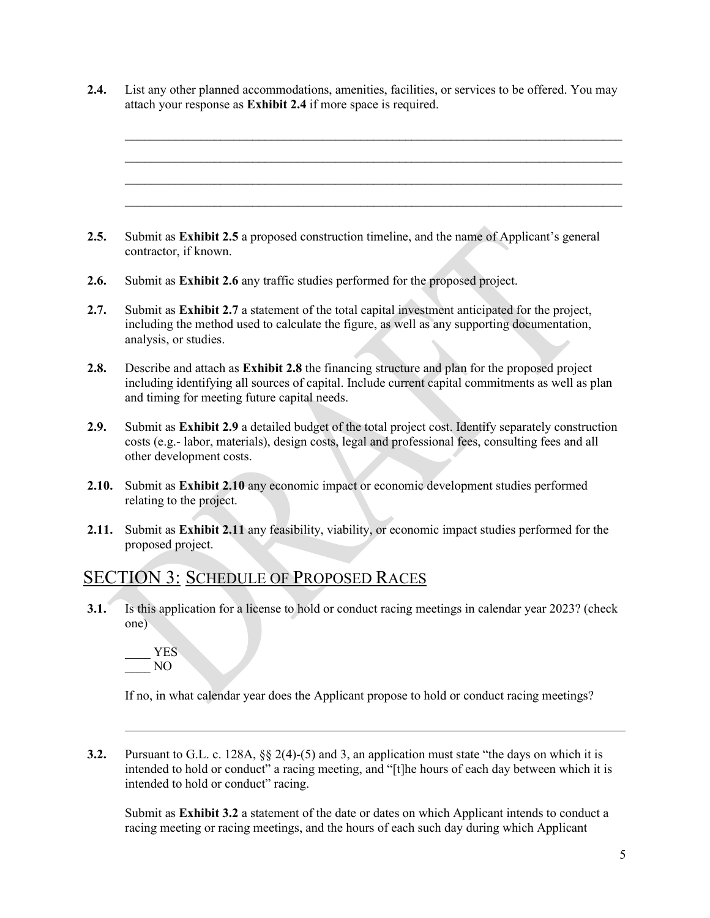**2.4.** List any other planned accommodations, amenities, facilities, or services to be offered. You may attach your response as **Exhibit 2.4** if more space is required.

 $\_$  , and the contribution of the contribution of the contribution of the contribution of  $\mathcal{L}_\text{max}$  $\_$  , and the contribution of the contribution of the contribution of the contribution of  $\mathcal{L}_\text{max}$  $\_$  , and the contribution of the contribution of the contribution of the contribution of  $\mathcal{L}_\text{max}$  $\_$  , and the contribution of the contribution of the contribution of the contribution of  $\mathcal{L}_\text{max}$ 

- <span id="page-4-0"></span>**2.5.** Submit as **Exhibit [2.5](#page-4-0)** a proposed construction timeline, and the name of Applicant's general contractor, if known.
- <span id="page-4-1"></span>**2.6.** Submit as **Exhibit [2.6](#page-4-1)** any traffic studies performed for the proposed project.
- **2.7.** Submit as **Exhibit 2.7** a statement of the total capital investment anticipated for the project, including the method used to calculate the figure, as well as any supporting documentation, analysis, or studies.
- **2.8.** Describe and attach as **Exhibit 2.8** the financing structure and plan for the proposed project including identifying all sources of capital. Include current capital commitments as well as plan and timing for meeting future capital needs.
- **2.9.** Submit as **Exhibit 2.9** a detailed budget of the total project cost. Identify separately construction costs (e.g.- labor, materials), design costs, legal and professional fees, consulting fees and all other development costs.
- **2.10.** Submit as **Exhibit 2.10** any economic impact or economic development studies performed relating to the project.
- **2.11.** Submit as **Exhibit 2.11** any feasibility, viability, or economic impact studies performed for the proposed project.

## SECTION 3: SCHEDULE OF PROPOSED RACES

**3.1.** Is this application for a license to hold or conduct racing meetings in calendar year 2023? (check one)

\_\_\_\_ YES \_\_\_\_ NO

If no, in what calendar year does the Applicant propose to hold or conduct racing meetings?

**3.2.** Pursuant to G.L. c. 128A, §§ 2(4)-(5) and 3, an application must state "the days on which it is intended to hold or conduct" a racing meeting, and "[t]he hours of each day between which it is intended to hold or conduct" racing.

Submit as **Exhibit 3.2** a statement of the date or dates on which Applicant intends to conduct a racing meeting or racing meetings, and the hours of each such day during which Applicant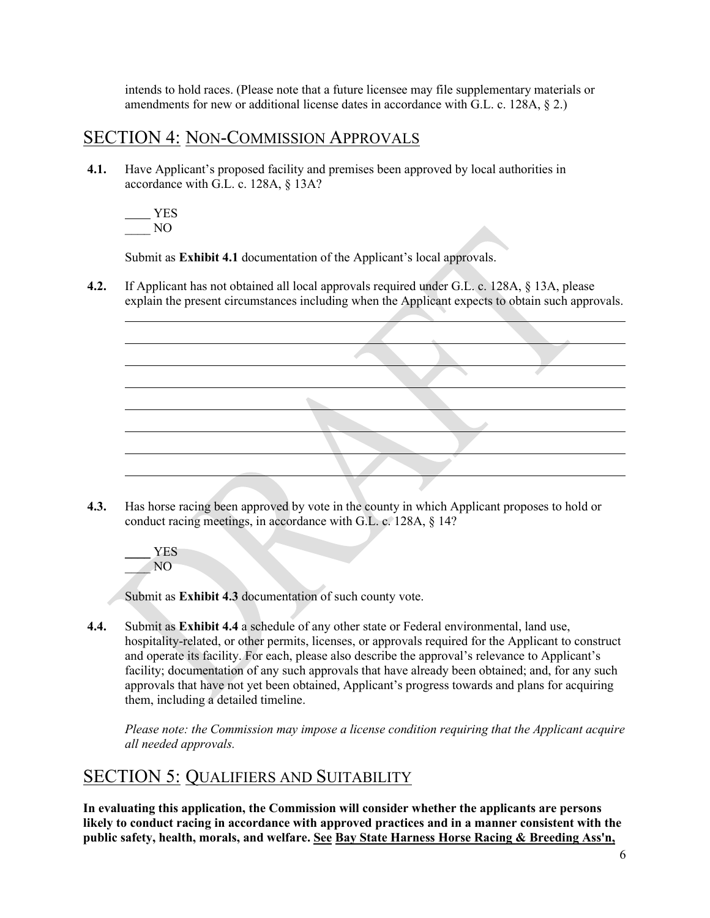intends to hold races. (Please note that a future licensee may file supplementary materials or amendments for new or additional license dates in accordance with G.L. c. 128A,  $\S$  2.)

### SECTION 4: NON-COMMISSION APPROVALS

<span id="page-5-0"></span>**4.1.** Have Applicant's proposed facility and premises been approved by local authorities in accordance with G.L. c. 128A, § 13A?

 YES \_\_\_\_ NO

Submit as **Exhibit [4.1](#page-5-0)** documentation of the Applicant's local approvals.

**4.2.** If Applicant has not obtained all local approvals required under G.L. c. 128A, § 13A, please explain the present circumstances including when the Applicant expects to obtain such approvals.



<span id="page-5-1"></span>**4.3.** Has horse racing been approved by vote in the county in which Applicant proposes to hold or conduct racing meetings, in accordance with G.L. c. 128A, § 14?

\_\_\_\_ YES \_\_\_\_ NO

Submit as **Exhibit [4.3](#page-5-1)** documentation of such county vote.

<span id="page-5-2"></span>**4.4.** Submit as **Exhibit [4.4](#page-5-2)** a schedule of any other state or Federal environmental, land use, hospitality-related, or other permits, licenses, or approvals required for the Applicant to construct and operate its facility. For each, please also describe the approval's relevance to Applicant's facility; documentation of any such approvals that have already been obtained; and, for any such approvals that have not yet been obtained, Applicant's progress towards and plans for acquiring them, including a detailed timeline.

*Please note: the Commission may impose a license condition requiring that the Applicant acquire all needed approvals.* 

# SECTION 5: QUALIFIERS AND SUITABILITY

**In evaluating this application, the Commission will consider whether the applicants are persons likely to conduct racing in accordance with approved practices and in a manner consistent with the public safety, health, morals, and welfare. See Bay State Harness Horse Racing & Breeding Ass'n,**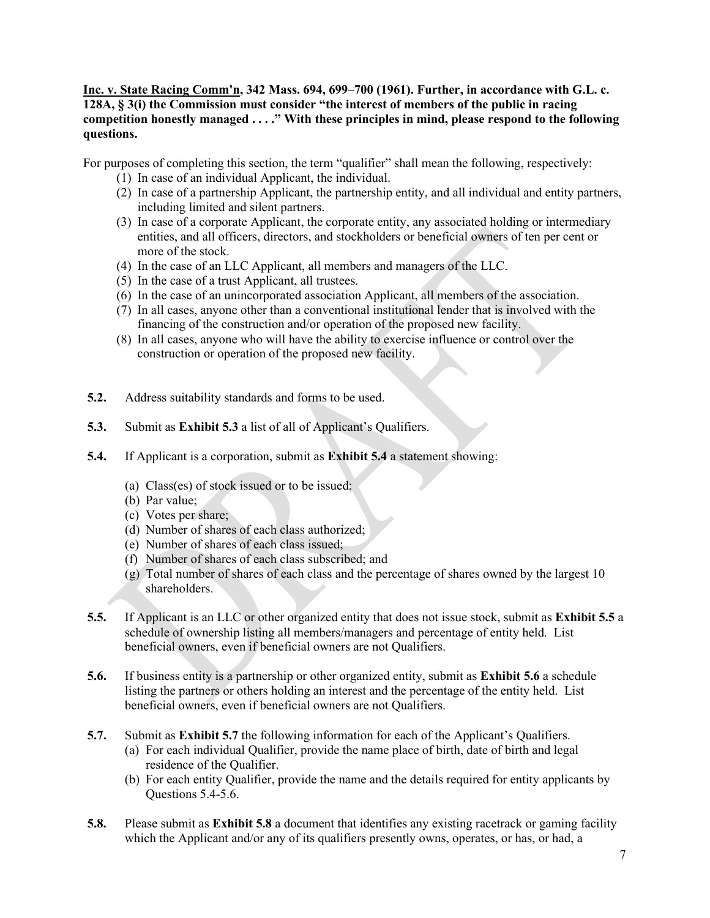**Inc. v. State Racing Comm'n, 342 Mass. 694, 699–700 (1961). Further, in accordance with G.L. c. 128A, § 3(i) the Commission must consider "the interest of members of the public in racing competition honestly managed . . . ." With these principles in mind, please respond to the following questions.** 

For purposes of completing this section, the term "qualifier" shall mean the following, respectively:

- (1) In case of an individual Applicant, the individual.
- (2) In case of a partnership Applicant, the partnership entity, and all individual and entity partners, including limited and silent partners.
- (3) In case of a corporate Applicant, the corporate entity, any associated holding or intermediary entities, and all officers, directors, and stockholders or beneficial owners of ten per cent or more of the stock.
- (4) In the case of an LLC Applicant, all members and managers of the LLC.
- (5) In the case of a trust Applicant, all trustees.
- (6) In the case of an unincorporated association Applicant, all members of the association.
- (7) In all cases, anyone other than a conventional institutional lender that is involved with the financing of the construction and/or operation of the proposed new facility.
- (8) In all cases, anyone who will have the ability to exercise influence or control over the construction or operation of the proposed new facility.
- **5.2.** Address suitability standards and forms to be used.
- **5.3.** Submit as **Exhibit 5.3** a list of all of Applicant's Qualifiers.
- **5.4.** If Applicant is a corporation, submit as **Exhibit 5.4** a statement showing:
	- (a) Class(es) of stock issued or to be issued;
	- (b) Par value;
	- (c) Votes per share;
	- (d) Number of shares of each class authorized;
	- (e) Number of shares of each class issued;
	- (f) Number of shares of each class subscribed; and
	- (g) Total number of shares of each class and the percentage of shares owned by the largest 10 shareholders.
- **5.5.** If Applicant is an LLC or other organized entity that does not issue stock, submit as **Exhibit 5.5** a schedule of ownership listing all members/managers and percentage of entity held. List beneficial owners, even if beneficial owners are not Qualifiers.
- **5.6.** If business entity is a partnership or other organized entity, submit as **Exhibit 5.6** a schedule listing the partners or others holding an interest and the percentage of the entity held. List beneficial owners, even if beneficial owners are not Qualifiers.
- **5.7.** Submit as **Exhibit 5.7** the following information for each of the Applicant's Qualifiers.
	- (a) For each individual Qualifier, provide the name place of birth, date of birth and legal residence of the Qualifier.
	- (b) For each entity Qualifier, provide the name and the details required for entity applicants by Questions 5.4-5.6.
- **5.8.** Please submit as **Exhibit 5.8** a document that identifies any existing racetrack or gaming facility which the Applicant and/or any of its qualifiers presently owns, operates, or has, or had, a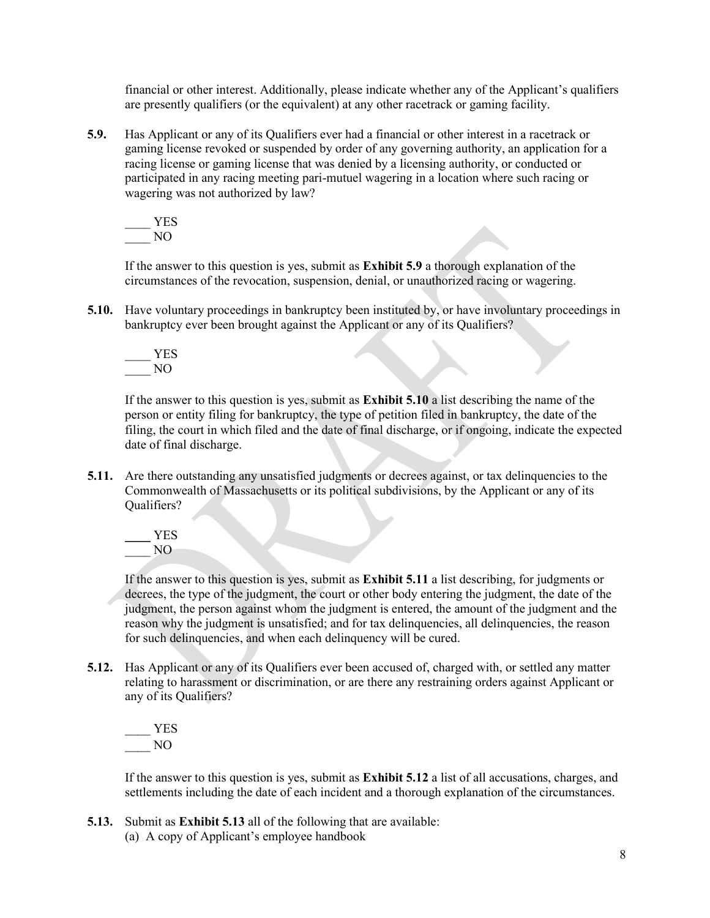financial or other interest. Additionally, please indicate whether any of the Applicant's qualifiers are presently qualifiers (or the equivalent) at any other racetrack or gaming facility.

**5.9.** Has Applicant or any of its Qualifiers ever had a financial or other interest in a racetrack or gaming license revoked or suspended by order of any governing authority, an application for a racing license or gaming license that was denied by a licensing authority, or conducted or participated in any racing meeting pari-mutuel wagering in a location where such racing or wagering was not authorized by law?

\_\_\_\_ YES \_\_\_\_ NO

If the answer to this question is yes, submit as **Exhibit 5.9** a thorough explanation of the circumstances of the revocation, suspension, denial, or unauthorized racing or wagering.

- **5.10.** Have voluntary proceedings in bankruptcy been instituted by, or have involuntary proceedings in bankruptcy ever been brought against the Applicant or any of its Qualifiers?
	- \_\_\_\_ YES \_\_\_\_ NO

If the answer to this question is yes, submit as **Exhibit 5.10** a list describing the name of the person or entity filing for bankruptcy, the type of petition filed in bankruptcy, the date of the filing, the court in which filed and the date of final discharge, or if ongoing, indicate the expected date of final discharge.

**5.11.** Are there outstanding any unsatisfied judgments or decrees against, or tax delinquencies to the Commonwealth of Massachusetts or its political subdivisions, by the Applicant or any of its Qualifiers?

\_\_\_\_ YES \_\_\_\_ NO

If the answer to this question is yes, submit as **Exhibit 5.11** a list describing, for judgments or decrees, the type of the judgment, the court or other body entering the judgment, the date of the judgment, the person against whom the judgment is entered, the amount of the judgment and the reason why the judgment is unsatisfied; and for tax delinquencies, all delinquencies, the reason for such delinquencies, and when each delinquency will be cured.

**5.12.** Has Applicant or any of its Qualifiers ever been accused of, charged with, or settled any matter relating to harassment or discrimination, or are there any restraining orders against Applicant or any of its Qualifiers?

\_\_\_\_ YES \_\_\_\_ NO

If the answer to this question is yes, submit as **Exhibit 5.12** a list of all accusations, charges, and settlements including the date of each incident and a thorough explanation of the circumstances.

**5.13.** Submit as **Exhibit 5.13** all of the following that are available: (a) A copy of Applicant's employee handbook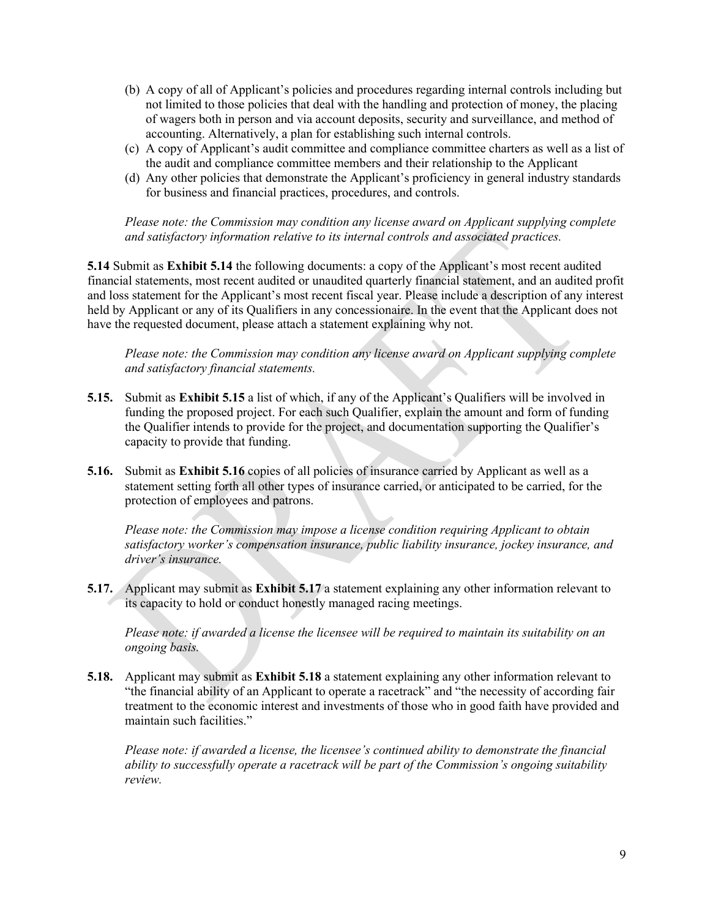- (b) A copy of all of Applicant's policies and procedures regarding internal controls including but not limited to those policies that deal with the handling and protection of money, the placing of wagers both in person and via account deposits, security and surveillance, and method of accounting. Alternatively, a plan for establishing such internal controls.
- (c) A copy of Applicant's audit committee and compliance committee charters as well as a list of the audit and compliance committee members and their relationship to the Applicant
- (d) Any other policies that demonstrate the Applicant's proficiency in general industry standards for business and financial practices, procedures, and controls.

<span id="page-8-0"></span>*Please note: the Commission may condition any license award on Applicant supplying complete and satisfactory information relative to its internal controls and associated practices.*

**5.14** Submit as **Exhibit [5.14](#page-8-0)** the following documents: a copy of the Applicant's most recent audited financial statements, most recent audited or unaudited quarterly financial statement, and an audited profit and loss statement for the Applicant's most recent fiscal year. Please include a description of any interest held by Applicant or any of its Qualifiers in any concessionaire. In the event that the Applicant does not have the requested document, please attach a statement explaining why not.

*Please note: the Commission may condition any license award on Applicant supplying complete and satisfactory financial statements.*

- <span id="page-8-1"></span>**5.15.** Submit as **Exhibit [5.15](#page-8-1)** a list of which, if any of the Applicant's Qualifiers will be involved in funding the proposed project. For each such Qualifier, explain the amount and form of funding the Qualifier intends to provide for the project, and documentation supporting the Qualifier's capacity to provide that funding.
- <span id="page-8-2"></span>**5.16.** Submit as **Exhibit [5.16](#page-8-2)** copies of all policies of insurance carried by Applicant as well as a statement setting forth all other types of insurance carried, or anticipated to be carried, for the protection of employees and patrons.

*Please note: the Commission may impose a license condition requiring Applicant to obtain satisfactory worker's compensation insurance, public liability insurance, jockey insurance, and driver's insurance.*

<span id="page-8-3"></span>**5.17.** Applicant may submit as **Exhibit [5.17](#page-8-3)** a statement explaining any other information relevant to its capacity to hold or conduct honestly managed racing meetings.

*Please note: if awarded a license the licensee will be required to maintain its suitability on an ongoing basis.*

<span id="page-8-4"></span>**5.18.** Applicant may submit as **Exhibit [5.18](#page-8-4)** a statement explaining any other information relevant to "the financial ability of an Applicant to operate a racetrack" and "the necessity of according fair treatment to the economic interest and investments of those who in good faith have provided and maintain such facilities."

*Please note: if awarded a license, the licensee's continued ability to demonstrate the financial ability to successfully operate a racetrack will be part of the Commission's ongoing suitability review.*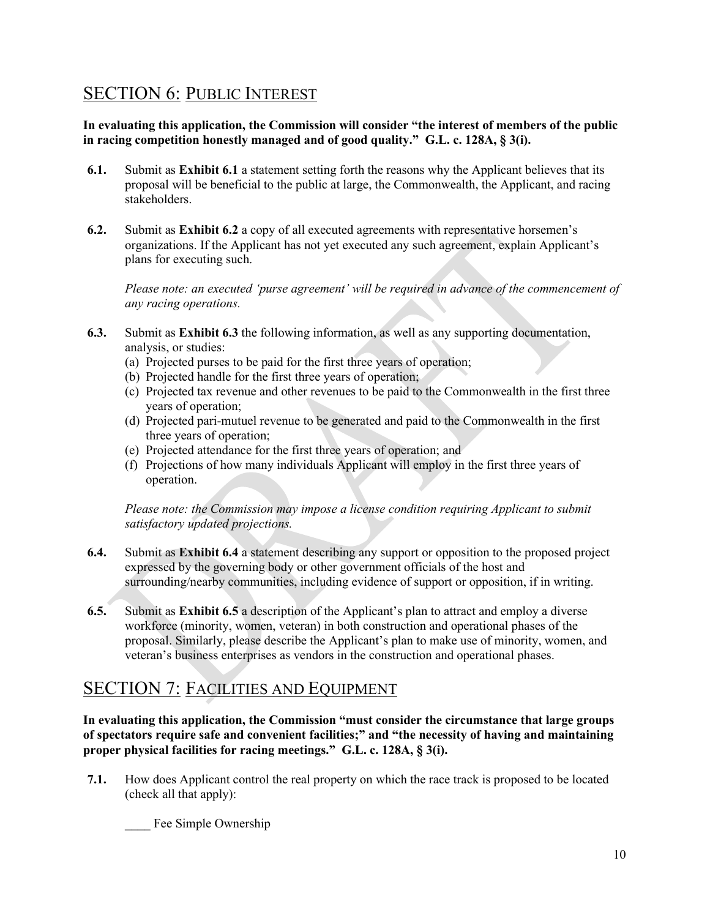# SECTION 6: PUBLIC INTEREST

**In evaluating this application, the Commission will consider "the interest of members of the public in racing competition honestly managed and of good quality." G.L. c. 128A, § 3(i).**

- <span id="page-9-0"></span>**6.1.** Submit as **Exhibit [6.1](#page-9-0)** a statement setting forth the reasons why the Applicant believes that its proposal will be beneficial to the public at large, the Commonwealth, the Applicant, and racing stakeholders.
- <span id="page-9-1"></span>**6.2.** Submit as **Exhibit [6.2](#page-9-1)** a copy of all executed agreements with representative horsemen's organizations. If the Applicant has not yet executed any such agreement, explain Applicant's plans for executing such.

*Please note: an executed 'purse agreement' will be required in advance of the commencement of any racing operations.* 

- <span id="page-9-2"></span>**6.3.** Submit as **Exhibit [6.3](#page-9-2)** the following information, as well as any supporting documentation, analysis, or studies:
	- (a) Projected purses to be paid for the first three years of operation;
	- (b) Projected handle for the first three years of operation;
	- (c) Projected tax revenue and other revenues to be paid to the Commonwealth in the first three years of operation;
	- (d) Projected pari-mutuel revenue to be generated and paid to the Commonwealth in the first three years of operation;
	- (e) Projected attendance for the first three years of operation; and
	- (f) Projections of how many individuals Applicant will employ in the first three years of operation.

*Please note: the Commission may impose a license condition requiring Applicant to submit satisfactory updated projections.*

- **6.4.** Submit as **Exhibit 6.4** a statement describing any support or opposition to the proposed project expressed by the governing body or other government officials of the host and surrounding/nearby communities, including evidence of support or opposition, if in writing.
- **6.5.** Submit as **Exhibit 6.5** a description of the Applicant's plan to attract and employ a diverse workforce (minority, women, veteran) in both construction and operational phases of the proposal. Similarly, please describe the Applicant's plan to make use of minority, women, and veteran's business enterprises as vendors in the construction and operational phases.

## SECTION 7: FACILITIES AND EQUIPMENT

**In evaluating this application, the Commission "must consider the circumstance that large groups of spectators require safe and convenient facilities;" and "the necessity of having and maintaining proper physical facilities for racing meetings." G.L. c. 128A, § 3(i).**

<span id="page-9-3"></span>**7.1.** How does Applicant control the real property on which the race track is proposed to be located (check all that apply):

Fee Simple Ownership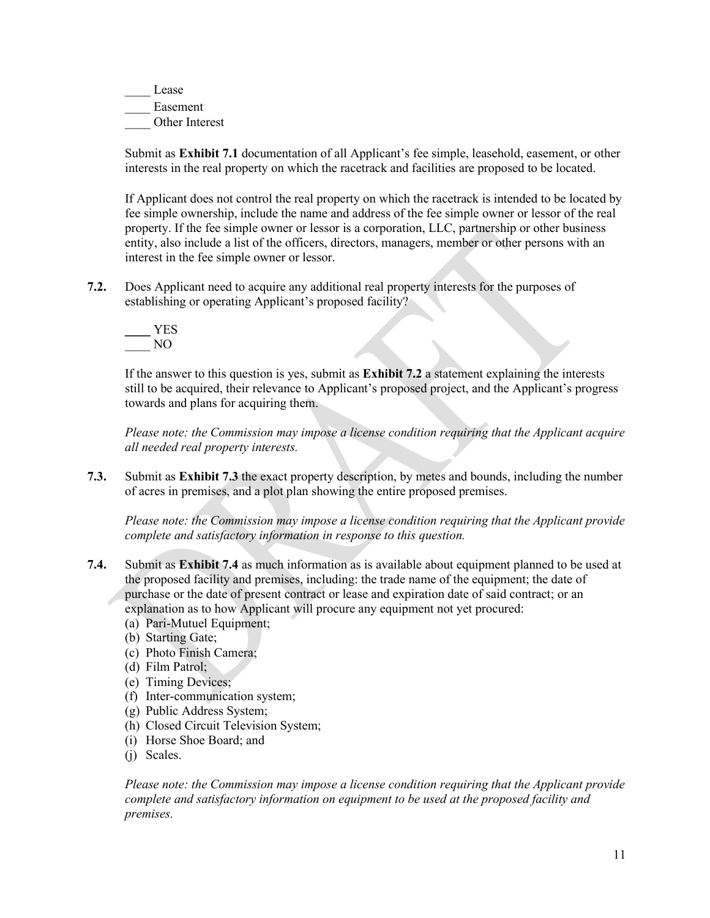\_\_\_\_ Lease Easement \_\_\_\_ Other Interest

Submit as **Exhibit [7.1](#page-9-3)** documentation of all Applicant's fee simple, leasehold, easement, or other interests in the real property on which the racetrack and facilities are proposed to be located.

If Applicant does not control the real property on which the racetrack is intended to be located by fee simple ownership, include the name and address of the fee simple owner or lessor of the real property. If the fee simple owner or lessor is a corporation, LLC, partnership or other business entity, also include a list of the officers, directors, managers, member or other persons with an interest in the fee simple owner or lessor.

<span id="page-10-0"></span>**7.2.** Does Applicant need to acquire any additional real property interests for the purposes of establishing or operating Applicant's proposed facility?

\_\_\_\_ YES \_\_\_\_ NO

If the answer to this question is yes, submit as **Exhibit [7.2](#page-10-0)** a statement explaining the interests still to be acquired, their relevance to Applicant's proposed project, and the Applicant's progress towards and plans for acquiring them.

*Please note: the Commission may impose a license condition requiring that the Applicant acquire all needed real property interests.*

<span id="page-10-1"></span>**7.3.** Submit as **Exhibit [7.3](#page-10-1)** the exact property description, by metes and bounds, including the number of acres in premises, and a plot plan showing the entire proposed premises.

*Please note: the Commission may impose a license condition requiring that the Applicant provide complete and satisfactory information in response to this question.* 

- <span id="page-10-2"></span>**7.4.** Submit as **Exhibit [7.4](#page-10-2)** as much information as is available about equipment planned to be used at the proposed facility and premises, including: the trade name of the equipment; the date of purchase or the date of present contract or lease and expiration date of said contract; or an explanation as to how Applicant will procure any equipment not yet procured:
	- (a) Pari-Mutuel Equipment;
	- (b) Starting Gate;
	- (c) Photo Finish Camera;
	- (d) Film Patrol;
	- (e) Timing Devices;
	- (f) Inter-communication system;
	- (g) Public Address System;
	- (h) Closed Circuit Television System;
	- (i) Horse Shoe Board; and
	- (j) Scales.

*Please note: the Commission may impose a license condition requiring that the Applicant provide complete and satisfactory information on equipment to be used at the proposed facility and premises.*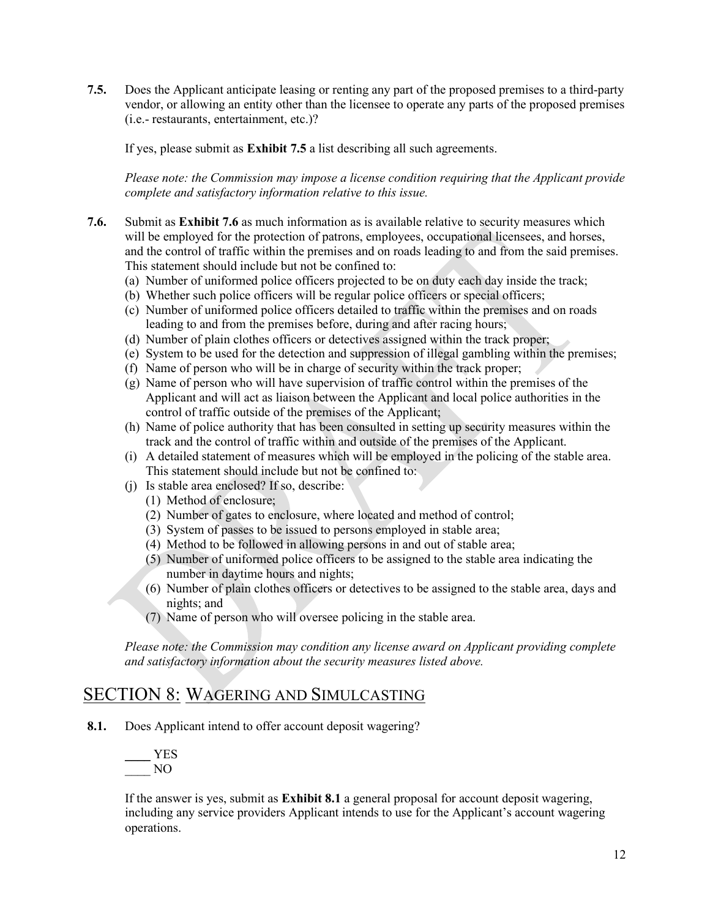<span id="page-11-0"></span>**7.5.** Does the Applicant anticipate leasing or renting any part of the proposed premises to a third-party vendor, or allowing an entity other than the licensee to operate any parts of the proposed premises (i.e.- restaurants, entertainment, etc.)?

If yes, please submit as **Exhibit [7.5](#page-11-0)** a list describing all such agreements.

*Please note: the Commission may impose a license condition requiring that the Applicant provide complete and satisfactory information relative to this issue.*

- <span id="page-11-1"></span>**7.6.** Submit as **Exhibit [7.6](#page-11-1)** as much information as is available relative to security measures which will be employed for the protection of patrons, employees, occupational licensees, and horses, and the control of traffic within the premises and on roads leading to and from the said premises. This statement should include but not be confined to:
	- (a) Number of uniformed police officers projected to be on duty each day inside the track;
	- (b) Whether such police officers will be regular police officers or special officers;
	- (c) Number of uniformed police officers detailed to traffic within the premises and on roads leading to and from the premises before, during and after racing hours;
	- (d) Number of plain clothes officers or detectives assigned within the track proper;
	- (e) System to be used for the detection and suppression of illegal gambling within the premises;
	- (f) Name of person who will be in charge of security within the track proper;
	- (g) Name of person who will have supervision of traffic control within the premises of the Applicant and will act as liaison between the Applicant and local police authorities in the control of traffic outside of the premises of the Applicant;
	- (h) Name of police authority that has been consulted in setting up security measures within the track and the control of traffic within and outside of the premises of the Applicant.
	- (i) A detailed statement of measures which will be employed in the policing of the stable area. This statement should include but not be confined to:
	- (j) Is stable area enclosed? If so, describe:
		- (1) Method of enclosure;
		- (2) Number of gates to enclosure, where located and method of control;
		- (3) System of passes to be issued to persons employed in stable area;
		- (4) Method to be followed in allowing persons in and out of stable area;
		- (5) Number of uniformed police officers to be assigned to the stable area indicating the number in daytime hours and nights;
		- (6) Number of plain clothes officers or detectives to be assigned to the stable area, days and nights; and
		- (7) Name of person who will oversee policing in the stable area.

*Please note: the Commission may condition any license award on Applicant providing complete and satisfactory information about the security measures listed above.* 

### SECTION 8: WAGERING AND SIMULCASTING

<span id="page-11-2"></span>**8.1.** Does Applicant intend to offer account deposit wagering?

\_\_\_\_ YES \_\_\_\_ NO

If the answer is yes, submit as **Exhibit [8.1](#page-11-2)** a general proposal for account deposit wagering, including any service providers Applicant intends to use for the Applicant's account wagering operations.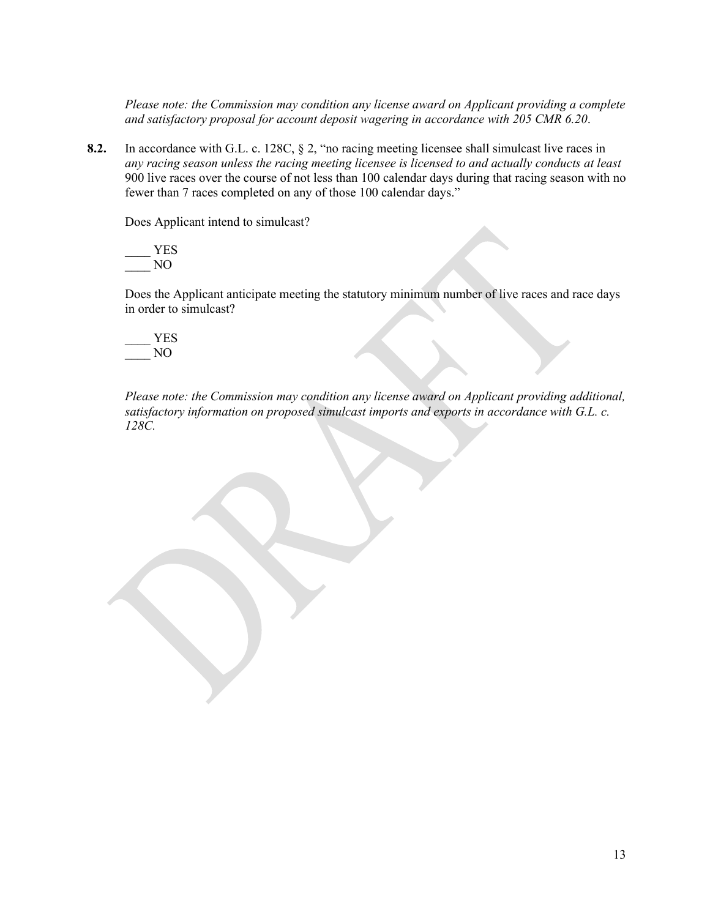*Please note: the Commission may condition any license award on Applicant providing a complete and satisfactory proposal for account deposit wagering in accordance with 205 CMR 6.20*.

**8.2.** In accordance with G.L. c. 128C, § 2, "no racing meeting licensee shall simulcast live races in *any racing season unless the racing meeting licensee is licensed to and actually conducts at least* 900 live races over the course of not less than 100 calendar days during that racing season with no fewer than 7 races completed on any of those 100 calendar days."

Does Applicant intend to simulcast?

\_\_\_\_ YES \_\_\_\_ NO

Does the Applicant anticipate meeting the statutory minimum number of live races and race days in order to simulcast?

\_\_\_\_ YES \_\_\_\_ NO

*Please note: the Commission may condition any license award on Applicant providing additional, satisfactory information on proposed simulcast imports and exports in accordance with G.L. c. 128C.*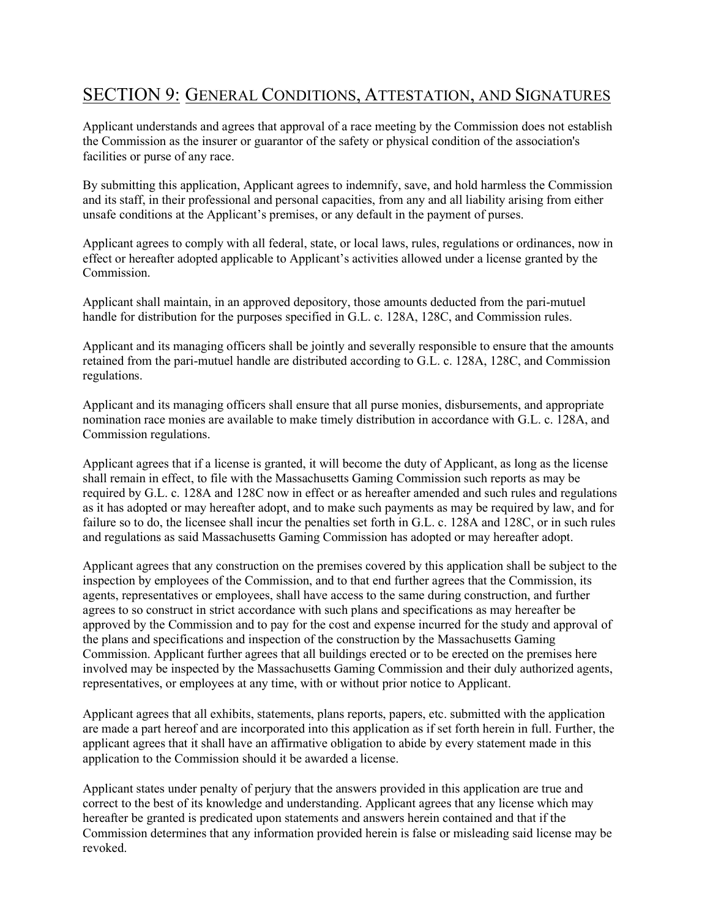## SECTION 9: GENERAL CONDITIONS, ATTESTATION, AND SIGNATURES

Applicant understands and agrees that approval of a race meeting by the Commission does not establish the Commission as the insurer or guarantor of the safety or physical condition of the association's facilities or purse of any race.

By submitting this application, Applicant agrees to indemnify, save, and hold harmless the Commission and its staff, in their professional and personal capacities, from any and all liability arising from either unsafe conditions at the Applicant's premises, or any default in the payment of purses.

Applicant agrees to comply with all federal, state, or local laws, rules, regulations or ordinances, now in effect or hereafter adopted applicable to Applicant's activities allowed under a license granted by the Commission.

Applicant shall maintain, in an approved depository, those amounts deducted from the pari-mutuel handle for distribution for the purposes specified in G.L. c. 128A, 128C, and Commission rules.

Applicant and its managing officers shall be jointly and severally responsible to ensure that the amounts retained from the pari-mutuel handle are distributed according to G.L. c. 128A, 128C, and Commission regulations.

Applicant and its managing officers shall ensure that all purse monies, disbursements, and appropriate nomination race monies are available to make timely distribution in accordance with G.L. c. 128A, and Commission regulations.

Applicant agrees that if a license is granted, it will become the duty of Applicant, as long as the license shall remain in effect, to file with the Massachusetts Gaming Commission such reports as may be required by G.L. c. 128A and 128C now in effect or as hereafter amended and such rules and regulations as it has adopted or may hereafter adopt, and to make such payments as may be required by law, and for failure so to do, the licensee shall incur the penalties set forth in G.L. c. 128A and 128C, or in such rules and regulations as said Massachusetts Gaming Commission has adopted or may hereafter adopt.

Applicant agrees that any construction on the premises covered by this application shall be subject to the inspection by employees of the Commission, and to that end further agrees that the Commission, its agents, representatives or employees, shall have access to the same during construction, and further agrees to so construct in strict accordance with such plans and specifications as may hereafter be approved by the Commission and to pay for the cost and expense incurred for the study and approval of the plans and specifications and inspection of the construction by the Massachusetts Gaming Commission. Applicant further agrees that all buildings erected or to be erected on the premises here involved may be inspected by the Massachusetts Gaming Commission and their duly authorized agents, representatives, or employees at any time, with or without prior notice to Applicant.

Applicant agrees that all exhibits, statements, plans reports, papers, etc. submitted with the application are made a part hereof and are incorporated into this application as if set forth herein in full. Further, the applicant agrees that it shall have an affirmative obligation to abide by every statement made in this application to the Commission should it be awarded a license.

Applicant states under penalty of perjury that the answers provided in this application are true and correct to the best of its knowledge and understanding. Applicant agrees that any license which may hereafter be granted is predicated upon statements and answers herein contained and that if the Commission determines that any information provided herein is false or misleading said license may be revoked.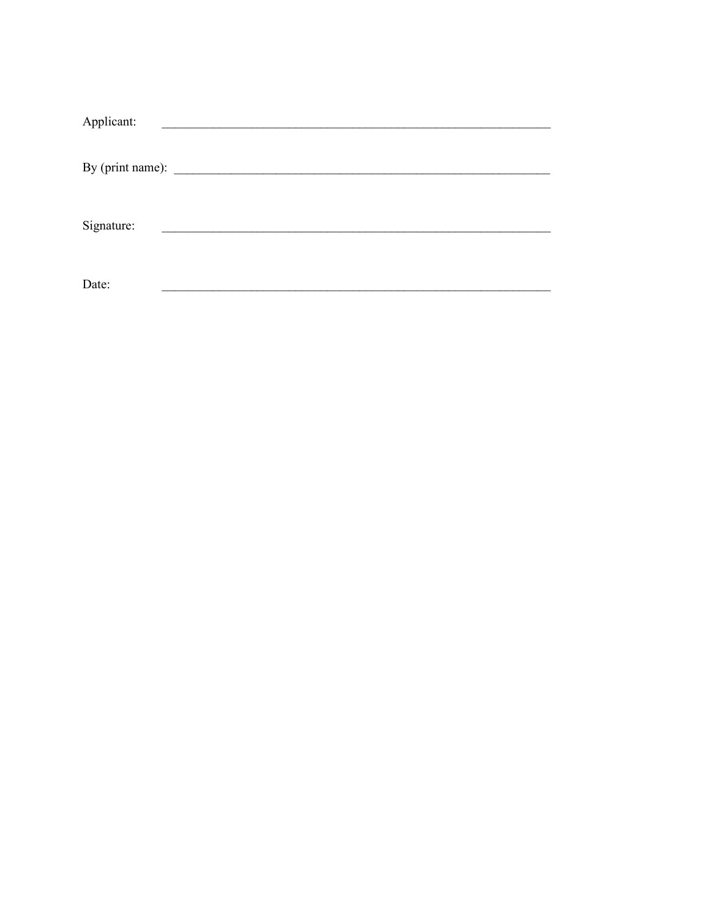| Applicant: |  |  |
|------------|--|--|
|            |  |  |
|            |  |  |
|            |  |  |
|            |  |  |
|            |  |  |
| Signature: |  |  |
|            |  |  |
|            |  |  |
|            |  |  |
| Date:      |  |  |
|            |  |  |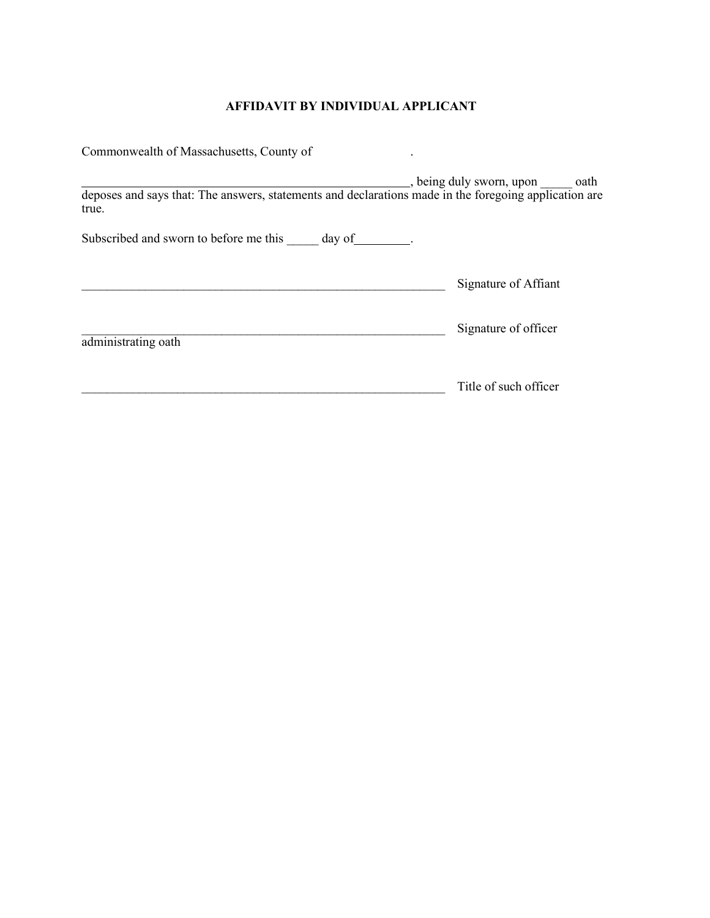#### **AFFIDAVIT BY INDIVIDUAL APPLICANT**

| Commonwealth of Massachusetts, County of                                                                                                      |                       |
|-----------------------------------------------------------------------------------------------------------------------------------------------|-----------------------|
| being duly sworn, upon oath<br>deposes and says that: The answers, statements and declarations made in the foregoing application are<br>true. |                       |
| Subscribed and sworn to before me this<br>day of                                                                                              |                       |
|                                                                                                                                               | Signature of Affiant  |
| administrating oath                                                                                                                           | Signature of officer  |
|                                                                                                                                               | Title of such officer |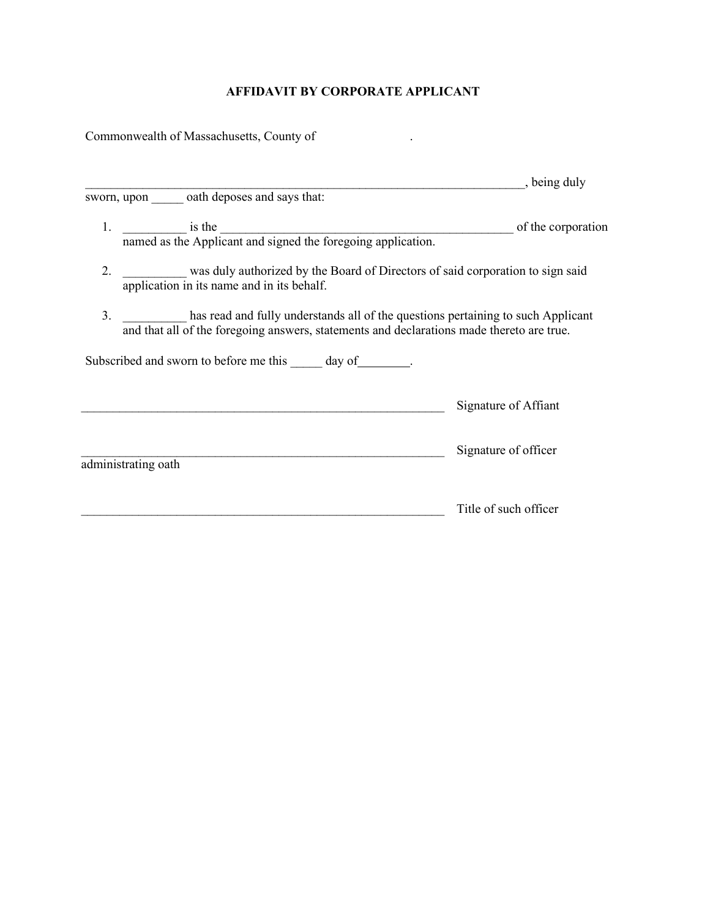#### **AFFIDAVIT BY CORPORATE APPLICANT**

Commonwealth of Massachusetts, County of .

|                     |                                                                                                                                                                               | , being duly          |
|---------------------|-------------------------------------------------------------------------------------------------------------------------------------------------------------------------------|-----------------------|
|                     | sworn, upon _______ oath deposes and says that:                                                                                                                               |                       |
|                     | 1. $\frac{1}{\text{named as the Application and signed the foregoing application}}$                                                                                           | of the corporation    |
| 2.                  | was duly authorized by the Board of Directors of said corporation to sign said<br>application in its name and in its behalf.                                                  |                       |
| 3.                  | has read and fully understands all of the questions pertaining to such Applicant<br>and that all of the foregoing answers, statements and declarations made thereto are true. |                       |
|                     | Subscribed and sworn to before me this ______ day of ________.                                                                                                                |                       |
|                     |                                                                                                                                                                               | Signature of Affiant  |
| administrating oath |                                                                                                                                                                               | Signature of officer  |
|                     |                                                                                                                                                                               | Title of such officer |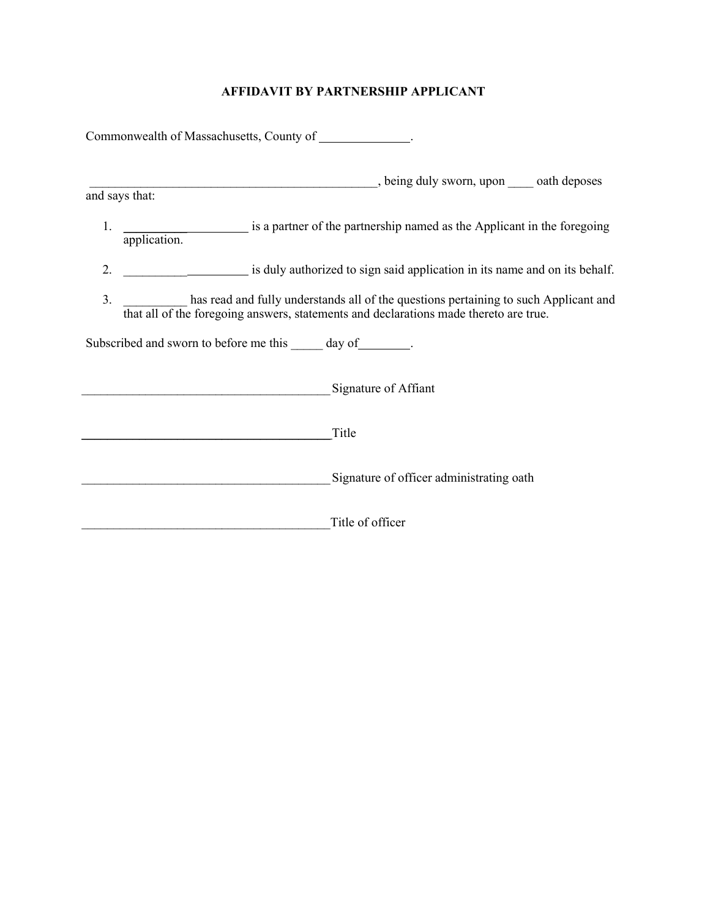#### **AFFIDAVIT BY PARTNERSHIP APPLICANT**

|    | Commonwealth of Massachusetts, County of ______________.                                                                                                                      |
|----|-------------------------------------------------------------------------------------------------------------------------------------------------------------------------------|
|    | being duly sworn, upon ______ oath deposes                                                                                                                                    |
|    | and says that:                                                                                                                                                                |
|    | application. is a partner of the partnership named as the Applicant in the foregoing                                                                                          |
| 2. | is duly authorized to sign said application in its name and on its behalf.                                                                                                    |
| 3. | has read and fully understands all of the questions pertaining to such Applicant and<br>that all of the foregoing answers, statements and declarations made thereto are true. |
|    | Subscribed and sworn to before me this ______ day of ________.                                                                                                                |
|    | Signature of Affiant                                                                                                                                                          |
|    | Title                                                                                                                                                                         |
|    | Signature of officer administrating oath                                                                                                                                      |
|    |                                                                                                                                                                               |